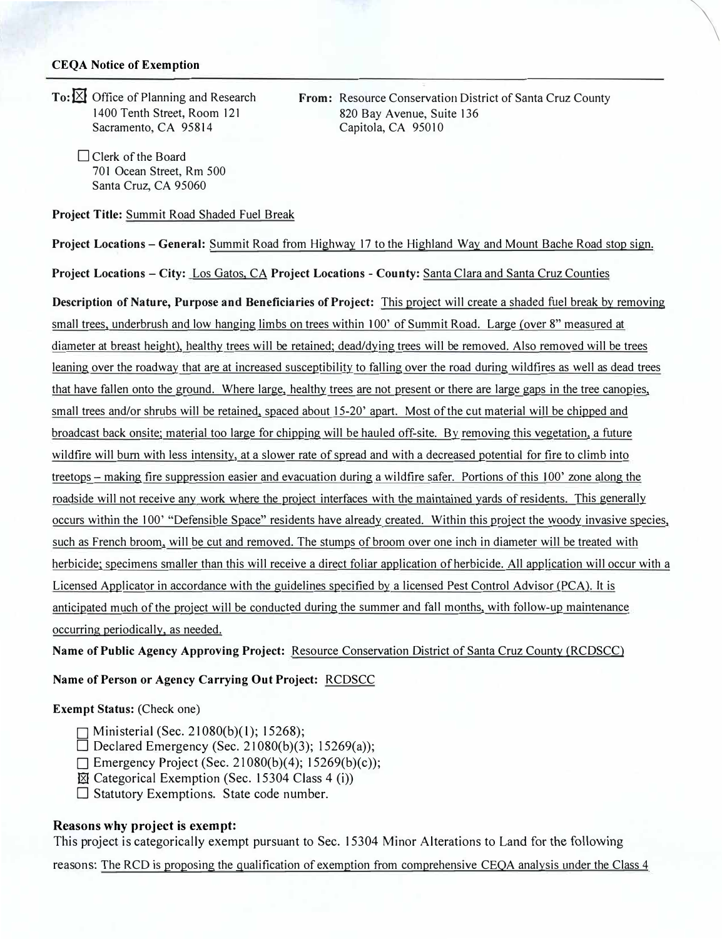## **CEQA Notice of Exemption**

To: **X** Office of Planning and Research 1400 Tenth Street, Room 121 Sacramento, CA 95814

> □ Clerk of the Board 701 Ocean Street, Rm 500 Santa Cruz, CA 95060

**Project Title:** Summit Road Shaded Fuel Break

**Project Locations - General:** Summit Road from Highway 17 to the Highland Way and Mount Bache Road stop sign.

**Project Locations - City:** Los Gatos, CA **Project Locations - County:** Santa Clara and Santa Cruz Counties

**Description of Nature, Purpose and Beneficiaries of Project:** This project will create a shaded fuel break by removing small trees. underbrush and low hanging limbs on trees within I 00' of Summit Road. Large *(over* 8" measured at diameter at breast height), healthy trees will be retained; dead/dying trees will be removed. Also removed will be trees leaning over the roadway that are at increased susceptibility to falling over the road during wildfires as well as dead trees that have fallen onto the ground. Where large, healthy trees are not present or there are large gaps in the tree canopies, small trees and/or shrubs will be retained, spaced about 15-20' apart. Most of the cut material will be chipped and broadcast back onsite; material too large for chipping will be hauled off-site. By removing this vegetation. a future wildfire will burn with less intensity, at a slower rate of spread and with a decreased potential for fire to climb into treetops – making fire suppression easier and evacuation during a wildfire safer. Portions of this 100' zone along the roadside will not receive any work where the project interfaces with the maintained yards of residents. This generally occurs within the 100' "Defensible Space" residents have already created. Within this project the woody invasive species, such as French broom, will be cut and removed. The stumps of broom over one inch in diameter will be treated with herbicide; specimens smaller than this will receive a direct foliar application of herbicide. All application will occur with a Licensed Applicator in accordance with the guidelines specified by a licensed Pest Control Advisor (PCA). It is anticipated much of the project will be conducted during the summer and fall months, with follow-up maintenance occurring periodically. as needed.

**Name of Public Agency Approving Project:** Resource Conservation District of Santa Cruz County (RCDSCC)

**Name of Person or Agency Carrying Out Project:** RCDSCC

## **Exempt Status:** (Check one)

- □ Ministerial (Sec. 21080(b)(l); 15268 );
- $\Box$  Declared Emergency (Sec. 21080(b)(3); 15269(a));
- $\Box$  Emergency Project (Sec. 21080(b)(4); 15269(b)(c));
- $\boxtimes$  Categorical Exemption (Sec. 15304 Class 4 (i))
- $\square$  Statutory Exemptions. State code number.

## **Reasons why project is exempt:**

This project is categorically exempt pursuant to Sec. 15304 Minor Alterations to Land for the following

reasons: The RCD is proposing the qualification of exemption from comprehensive CEOA analysis under the Class 4

**From:** Resource Conservation District of Santa Cruz County 820 Bay A venue, Suite 136 Capitola, CA 95010

\